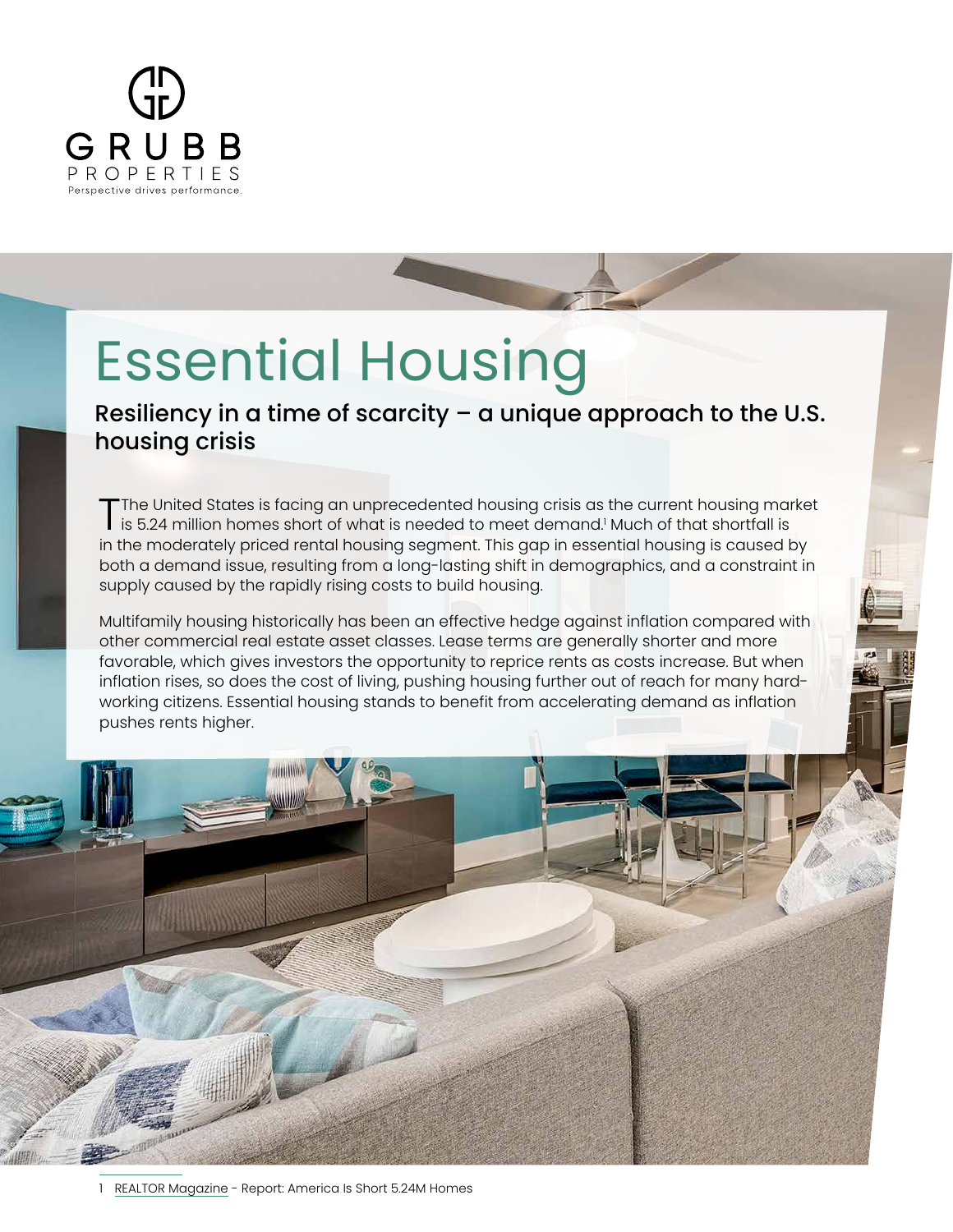

# Essential Housing

# Resiliency in a time of scarcity – a unique approach to the U.S. housing crisis

The United States is facing an unprecedented housing crisis as the current housing market<br>is 5.24 million homes short of what is needed to meet demand.<sup>1</sup> Much of that shortfall is<br>in the mederately priced rental bousing s in the moderately priced rental housing segment. This gap in essential housing is caused by both a demand issue, resulting from a long-lasting shift in demographics, and a constraint in supply caused by the rapidly rising costs to build housing.

Multifamily housing historically has been an effective hedge against inflation compared with other commercial real estate asset classes. Lease terms are generally shorter and more favorable, which gives investors the opportunity to reprice rents as costs increase. But when inflation rises, so does the cost of living, pushing housing further out of reach for many hardworking citizens. Essential housing stands to benefit from accelerating demand as inflation pushes rents higher.

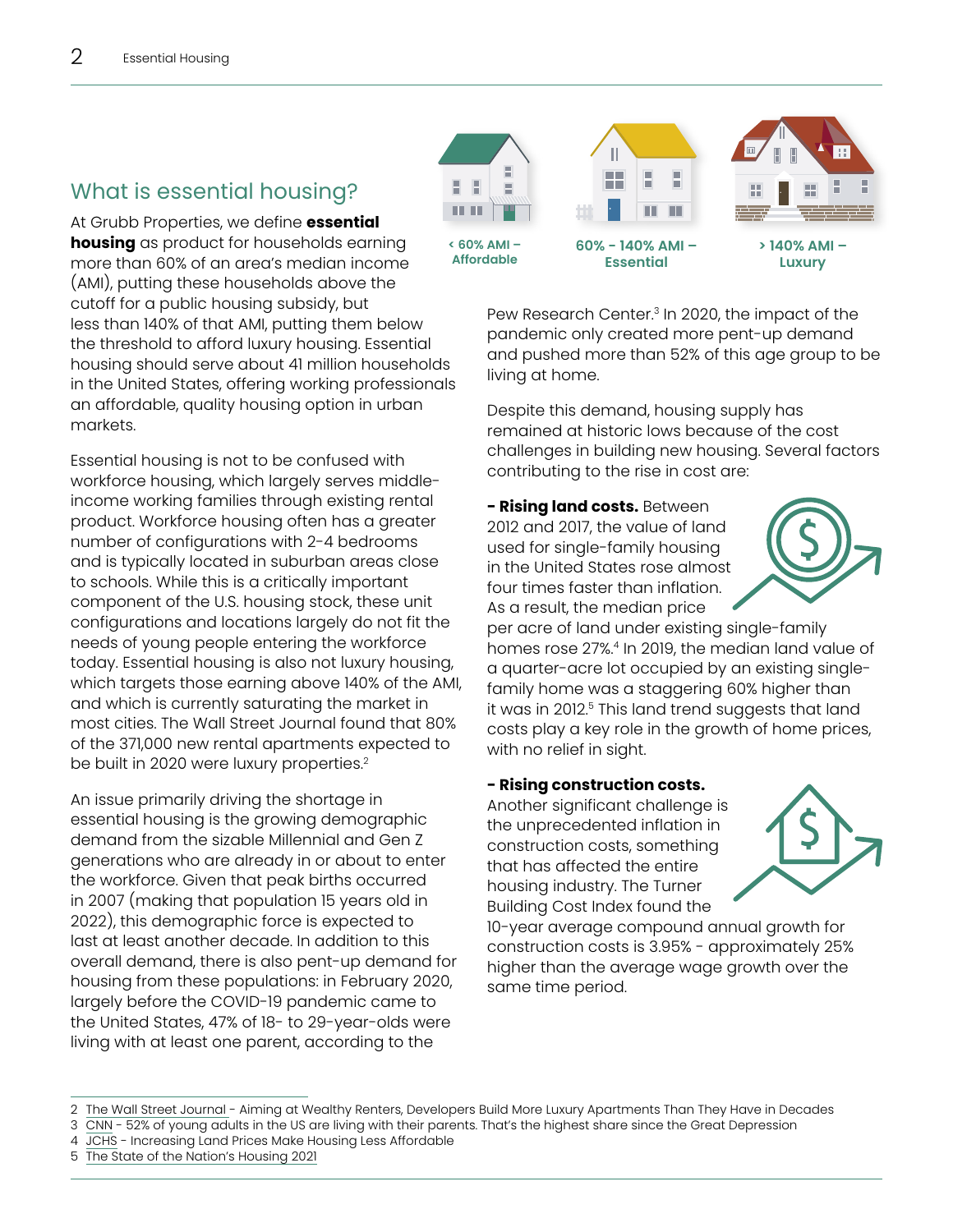# What is essential housing?

At Grubb Properties, we define **essential housing** as product for households earning more than 60% of an area's median income (AMI), putting these households above the cutoff for a public housing subsidy, but less than 140% of that AMI, putting them below the threshold to afford luxury housing. Essential housing should serve about 41 million households in the United States, offering working professionals an affordable, quality housing option in urban markets.

Essential housing is not to be confused with workforce housing, which largely serves middleincome working families through existing rental product. Workforce housing often has a greater number of configurations with 2-4 bedrooms and is typically located in suburban areas close to schools. While this is a critically important component of the U.S. housing stock, these unit configurations and locations largely do not fit the needs of young people entering the workforce today. Essential housing is also not luxury housing, which targets those earning above 140% of the AMI, and which is currently saturating the market in most cities. The Wall Street Journal found that 80% of the 371,000 new rental apartments expected to be built in 2020 were luxury properties.<sup>2</sup>

An issue primarily driving the shortage in essential housing is the growing demographic demand from the sizable Millennial and Gen Z generations who are already in or about to enter the workforce. Given that peak births occurred in 2007 (making that population 15 years old in 2022), this demographic force is expected to last at least another decade. In addition to this overall demand, there is also pent-up demand for housing from these populations: in February 2020, largely before the COVID-19 pandemic came to the United States, 47% of 18- to 29-year-olds were living with at least one parent, according to the



Pew Research Center.<sup>3</sup> In 2020, the impact of the pandemic only created more pent-up demand and pushed more than 52% of this age group to be living at home.

Despite this demand, housing supply has remained at historic lows because of the cost challenges in building new housing. Several factors contributing to the rise in cost are:

#### **- Rising land costs.** Between 2012 and 2017, the value of land used for single-family housing in the United States rose almost four times faster than inflation. As a result, the median price



per acre of land under existing single-family homes rose 27%.<sup>4</sup> In 2019, the median land value of a quarter-acre lot occupied by an existing singlefamily home was a staggering 60% higher than it was in 2012.<sup>5</sup> This land trend suggests that land costs play a key role in the growth of home prices, with no relief in sight.

**- Rising construction costs.**

Another significant challenge is the unprecedented inflation in construction costs, something that has affected the entire housing industry. The Turner Building Cost Index found the



10-year average compound annual growth for construction costs is 3.95% - approximately 25% higher than the average wage growth over the same time period.

4 [JCHS - Increasing Land Prices Make Housing Less Affordable](https://www.jchs.harvard.edu/blog/increasing-land-prices-make-housing-less-affordable)

<sup>2</sup> [The Wall Street Journal - Aiming at Wealthy Renters, Developers Build More Luxury Apartments Than They Have in Decades](https://www.wsj.com/articles/aiming-at-wealthy-renters-developers-build-more-luxury-apartments-than-they-have-in-decades-11579084202)

<sup>3</sup> [CNN](https://edition.cnn.com/2020/09/04/us/children-living-with-parents-pandemic-pew/index.html) - [52% of young adults in the US are living with their parents. That's the highest share since the Great Depression](https://edition.cnn.com/2020/09/04/us/children-living-with-parents-pandemic-pew/index.html)

<sup>5</sup> [The State of the Nation's Housing 2021](https://www.jchs.harvard.edu/sites/default/files/reports/files/Harvard_JCHS_State_Nations_Housing_2021.pdf)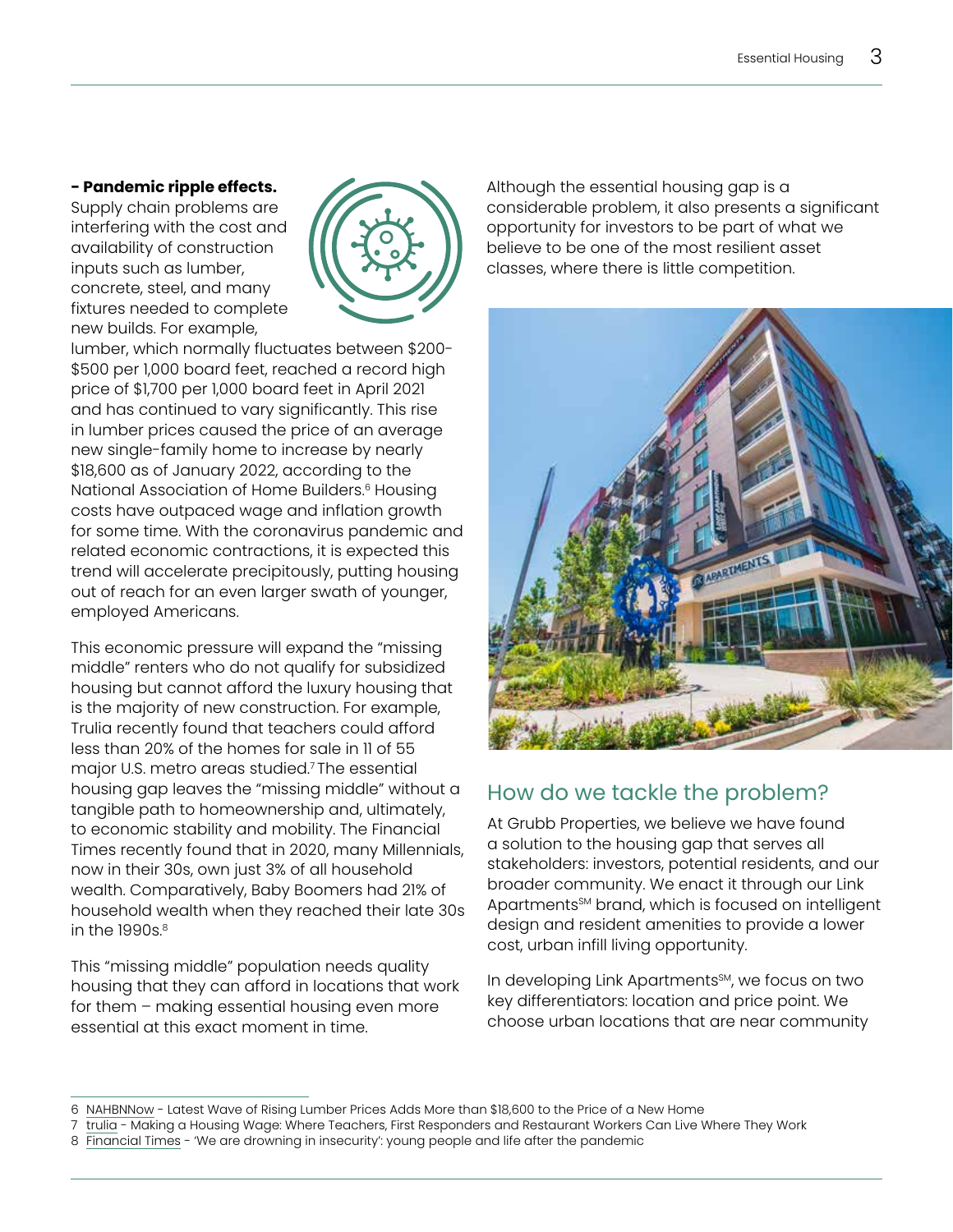#### **- Pandemic ripple effects.**

Supply chain problems are interfering with the cost and availability of construction inputs such as lumber, concrete, steel, and many fixtures needed to complete new builds. For example,



lumber, which normally fluctuates between \$200- \$500 per 1,000 board feet, reached a record high price of \$1,700 per 1,000 board feet in April 2021 and has continued to vary significantly. This rise in lumber prices caused the price of an average new single-family home to increase by nearly \$18,600 as of January 2022, according to the National Association of Home Builders.<sup>6</sup> Housing costs have outpaced wage and inflation growth for some time. With the coronavirus pandemic and related economic contractions, it is expected this trend will accelerate precipitously, putting housing out of reach for an even larger swath of younger, employed Americans.

This economic pressure will expand the "missing middle" renters who do not qualify for subsidized housing but cannot afford the luxury housing that is the majority of new construction. For example, Trulia recently found that teachers could afford less than 20% of the homes for sale in 11 of 55 major U.S. metro areas studied.7 The essential housing gap leaves the "missing middle" without a tangible path to homeownership and, ultimately, to economic stability and mobility. The Financial Times recently found that in 2020, many Millennials, now in their 30s, own just 3% of all household wealth. Comparatively, Baby Boomers had 21% of household wealth when they reached their late 30s in the  $1990s<sup>8</sup>$ 

This "missing middle" population needs quality housing that they can afford in locations that work for them – making essential housing even more essential at this exact moment in time.

Although the essential housing gap is a considerable problem, it also presents a significant opportunity for investors to be part of what we believe to be one of the most resilient asset classes, where there is little competition.



#### How do we tackle the problem?

At Grubb Properties, we believe we have found a solution to the housing gap that serves all stakeholders: investors, potential residents, and our broader community. We enact it through our Link Apartments<sup>SM</sup> brand, which is focused on intelligent design and resident amenities to provide a lower cost, urban infill living opportunity.

In developing Link Apartments<sup>SM</sup>, we focus on two key differentiators: location and price point. We choose urban locations that are near community

<sup>6</sup> [NAHBNNow - Latest Wave of Rising Lumber Prices Adds More than \\$18,600 to the Price of a New Home](https://nahbnow.com/2022/01/latest-wave-of-rising-lumber-prices-adds-more-than-18600-to-the-price-of-a-new-home/)

<sup>7</sup> [trulia - Making a Housing Wage: Where Teachers, First Responders and Restaurant Workers Can Live Where They Work](https://www.trulia.com/research/housing-costs-teachers/)

<sup>8</sup> [Financial Times - 'We are drowning in insecurity': young people and life after the pandemic](https://www.ft.com/content/77d586cc-4f3f-4701-a104-d09136c93d44)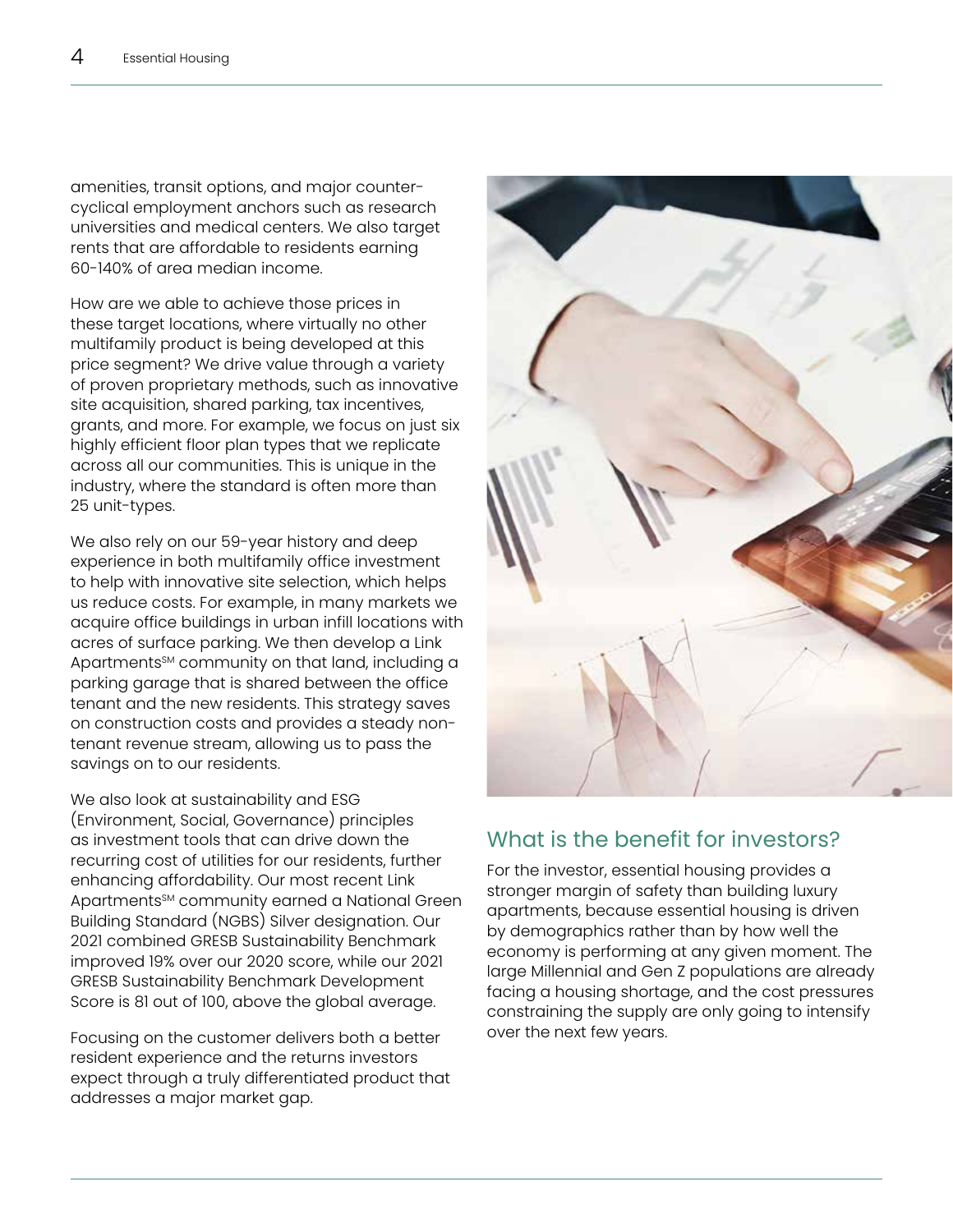amenities, transit options, and major countercyclical employment anchors such as research universities and medical centers. We also target rents that are affordable to residents earning 60-140% of area median income.

How are we able to achieve those prices in these target locations, where virtually no other multifamily product is being developed at this price segment? We drive value through a variety of proven proprietary methods, such as innovative site acquisition, shared parking, tax incentives, grants, and more. For example, we focus on just six highly efficient floor plan types that we replicate across all our communities. This is unique in the industry, where the standard is often more than 25 unit-types.

We also rely on our 59-year history and deep experience in both multifamily office investment to help with innovative site selection, which helps us reduce costs. For example, in many markets we acquire office buildings in urban infill locations with acres of surface parking. We then develop a Link Apartments<sup>SM</sup> community on that land, including a parking garage that is shared between the office tenant and the new residents. This strategy saves on construction costs and provides a steady nontenant revenue stream, allowing us to pass the savings on to our residents.

We also look at sustainability and ESG (Environment, Social, Governance) principles as investment tools that can drive down the recurring cost of utilities for our residents, further enhancing affordability. Our most recent Link Apartments<sup>SM</sup> community earned a National Green Building Standard (NGBS) Silver designation. Our 2021 combined GRESB Sustainability Benchmark improved 19% over our 2020 score, while our 2021 GRESB Sustainability Benchmark Development Score is 81 out of 100, above the global average.

Focusing on the customer delivers both a better resident experience and the returns investors expect through a truly differentiated product that addresses a major market gap.



#### What is the benefit for investors?

For the investor, essential housing provides a stronger margin of safety than building luxury apartments, because essential housing is driven by demographics rather than by how well the economy is performing at any given moment. The large Millennial and Gen Z populations are already facing a housing shortage, and the cost pressures constraining the supply are only going to intensify over the next few years.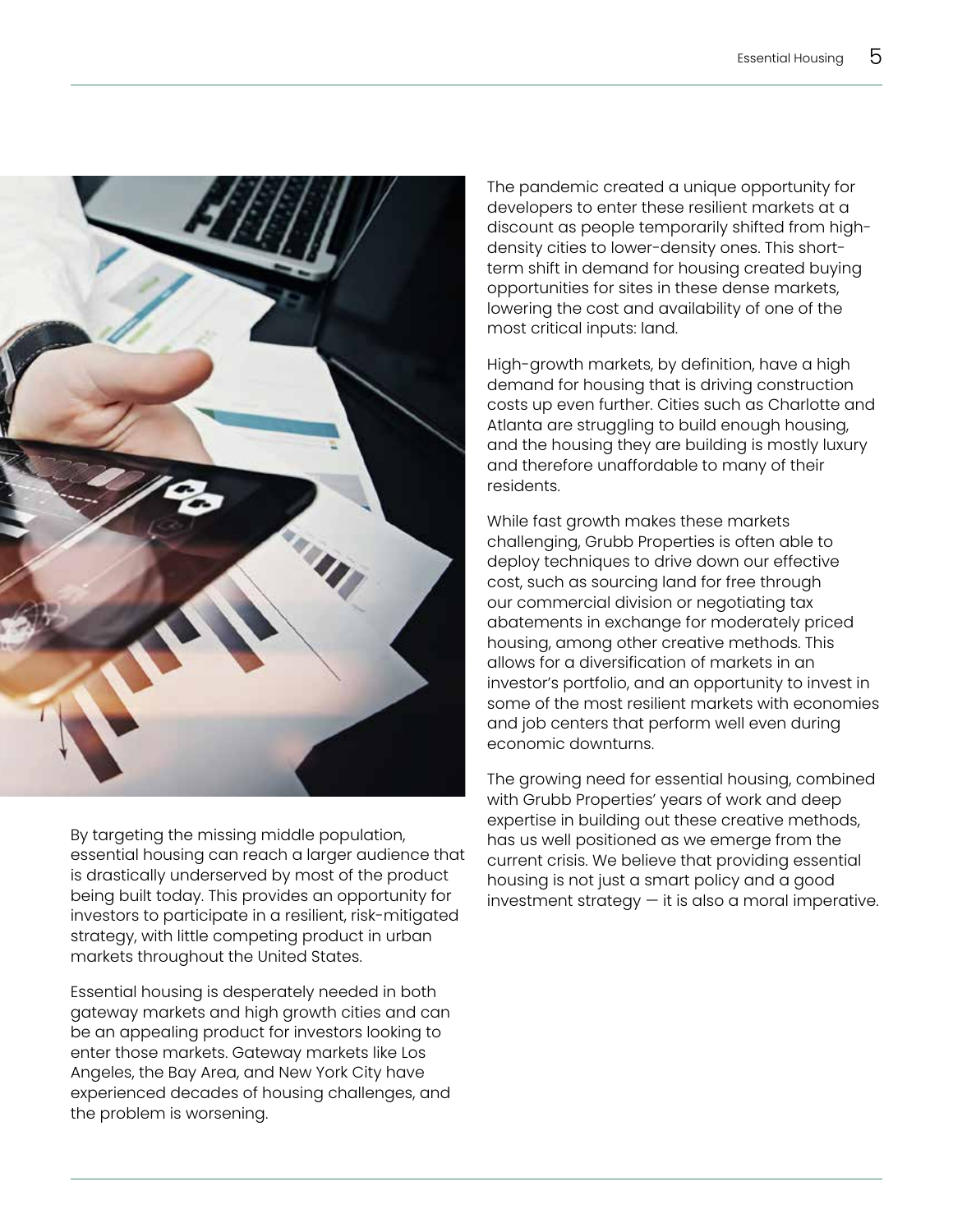

By targeting the missing middle population, essential housing can reach a larger audience that is drastically underserved by most of the product being built today. This provides an opportunity for investors to participate in a resilient, risk-mitigated strategy, with little competing product in urban markets throughout the United States.

Essential housing is desperately needed in both gateway markets and high growth cities and can be an appealing product for investors looking to enter those markets. Gateway markets like Los Angeles, the Bay Area, and New York City have experienced decades of housing challenges, and the problem is worsening.

The pandemic created a unique opportunity for developers to enter these resilient markets at a discount as people temporarily shifted from highdensity cities to lower-density ones. This shortterm shift in demand for housing created buying opportunities for sites in these dense markets, lowering the cost and availability of one of the most critical inputs: land.

High-growth markets, by definition, have a high demand for housing that is driving construction costs up even further. Cities such as Charlotte and Atlanta are struggling to build enough housing, and the housing they are building is mostly luxury and therefore unaffordable to many of their residents.

While fast growth makes these markets challenging, Grubb Properties is often able to deploy techniques to drive down our effective cost, such as sourcing land for free through our commercial division or negotiating tax abatements in exchange for moderately priced housing, among other creative methods. This allows for a diversification of markets in an investor's portfolio, and an opportunity to invest in some of the most resilient markets with economies and job centers that perform well even during economic downturns.

The growing need for essential housing, combined with Grubb Properties' years of work and deep expertise in building out these creative methods, has us well positioned as we emerge from the current crisis. We believe that providing essential housing is not just a smart policy and a good investment strategy  $-$  it is also a moral imperative.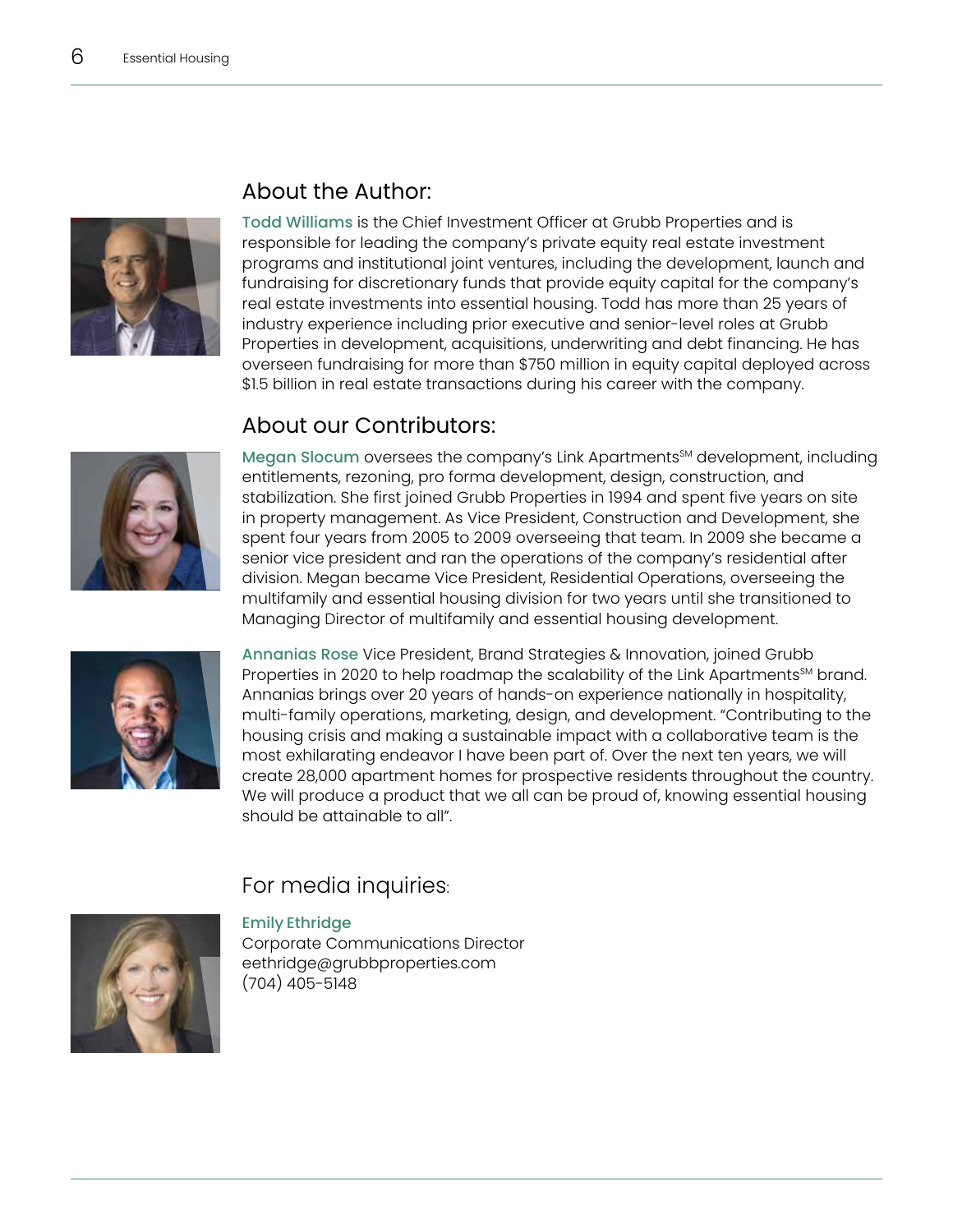

## About the Author:

Todd Williams is the Chief Investment Officer at Grubb Properties and is responsible for leading the company's private equity real estate investment programs and institutional joint ventures, including the development, launch and fundraising for discretionary funds that provide equity capital for the company's real estate investments into essential housing. Todd has more than 25 years of industry experience including prior executive and senior-level roles at Grubb Properties in development, acquisitions, underwriting and debt financing. He has overseen fundraising for more than \$750 million in equity capital deployed across \$1.5 billion in real estate transactions during his career with the company.

#### About our Contributors:



Megan Slocum oversees the company's Link Apartments<sup>SM</sup> development, including entitlements, rezoning, pro forma development, design, construction, and stabilization. She first joined Grubb Properties in 1994 and spent five years on site in property management. As Vice President, Construction and Development, she spent four years from 2005 to 2009 overseeing that team. In 2009 she became a senior vice president and ran the operations of the company's residential after division. Megan became Vice President, Residential Operations, overseeing the multifamily and essential housing division for two years until she transitioned to Managing Director of multifamily and essential housing development.



Annanias Rose Vice President, Brand Strategies & Innovation, joined Grubb Properties in 2020 to help roadmap the scalability of the Link Apartments<sup>SM</sup> brand. Annanias brings over 20 years of hands-on experience nationally in hospitality, multi-family operations, marketing, design, and development. "Contributing to the housing crisis and making a sustainable impact with a collaborative team is the most exhilarating endeavor I have been part of. Over the next ten years, we will create 28,000 apartment homes for prospective residents throughout the country. We will produce a product that we all can be proud of, knowing essential housing should be attainable to all".

## For media inquiries:



Emily Ethridge Corporate Communications Director [eethridge@grubbproperties.com](mailto:eethridge%40grubbproperties.com?subject=) (704) 405-5148